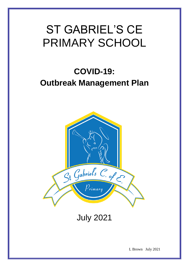# ST GABRIEL'S CE PRIMARY SCHOOL

# **COVID-19: Outbreak Management Plan**



July 2021

L Brown July 2021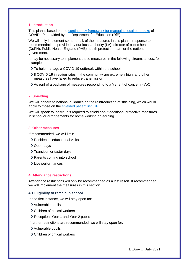## **1. Introduction**

This plan is based on the [contingency framework for managing local outbreaks](https://www.gov.uk/government/publications/coronavirus-covid-19-local-restrictions-in-education-and-childcare-settings) of COVID-19, provided by the Department for Education (DfE).

We will only implement some, or all, of the measures in this plan in response to recommendations provided by our local authority (LA), director of public health (DsPH), Public Health England (PHE) health protection team or the national government.

It may be necessary to implement these measures in the following circumstances, for example:

- To help manage a COVID-19 outbreak within the school
- If COVID-19 infection rates in the community are extremely high, and other measures have failed to reduce transmission
- As part of a package of measures responding to a 'variant of concern' (VoC)

## **2. Shielding**

We will adhere to national guidance on the reintroduction of shielding, which would apply to those on the [shielded patient list \(SPL\).](https://digital.nhs.uk/coronavirus/shielded-patient-list)

We will speak to individuals required to shield about additional protective measures in school or arrangements for home working or learning.

#### **3. Other measures**

If recommended, we will limit:

- Residential educational visits
- > Open days
- > Transition or taster days
- > Parents coming into school
- > Live performances

#### **4. Attendance restrictions**

Attendance restrictions will only be recommended as a last resort. If recommended, we will implement the measures in this section.

#### **4.1 Eligibility to remain in school**

In the first instance, we will stay open for:

- Vulnerable pupils
- Children of critical workers
- Reception, Year 1 and Year 2 pupils
- If further restrictions are recommended, we will stay open for:
	- Vulnerable pupils
	- Children of critical workers